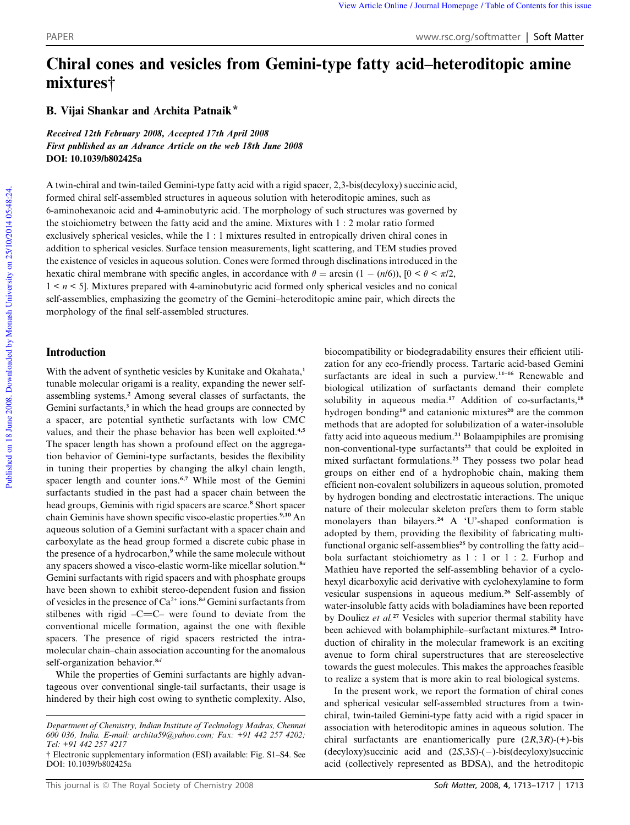# Chiral cones and vesicles from Gemini-type fatty acid–heteroditopic amine mixtures†

B. Vijai Shankar and Archita Patnaik\*

Received 12th February 2008, Accepted 17th April 2008 First published as an Advance Article on the web 18th June 2008 DOI: 10.1039/b802425a

A twin-chiral and twin-tailed Gemini-type fatty acid with a rigid spacer, 2,3-bis(decyloxy) succinic acid, formed chiral self-assembled structures in aqueous solution with heteroditopic amines, such as 6-aminohexanoic acid and 4-aminobutyric acid. The morphology of such structures was governed by the stoichiometry between the fatty acid and the amine. Mixtures with 1 : 2 molar ratio formed exclusively spherical vesicles, while the 1 : 1 mixtures resulted in entropically driven chiral cones in addition to spherical vesicles. Surface tension measurements, light scattering, and TEM studies proved the existence of vesicles in aqueous solution. Cones were formed through disclinations introduced in the hexatic chiral membrane with specific angles, in accordance with  $\theta = \arcsin (1 - (n/6))$ ,  $[0 \lt \theta \lt \pi/2]$ , 1 < *n* < 5]. Mixtures prepared with 4-aminobutyric acid formed only spherical vesicles and no conical self-assemblies, emphasizing the geometry of the Gemini–heteroditopic amine pair, which directs the morphology of the final self-assembled structures.

# **Introduction**

With the advent of synthetic vesicles by Kunitake and Okahata,<sup>1</sup> tunable molecular origami is a reality, expanding the newer selfassembling systems.<sup>2</sup> Among several classes of surfactants, the Gemini surfactants,<sup>3</sup> in which the head groups are connected by a spacer, are potential synthetic surfactants with low CMC values, and their the phase behavior has been well exploited.<sup>4,5</sup> The spacer length has shown a profound effect on the aggregation behavior of Gemini-type surfactants, besides the flexibility in tuning their properties by changing the alkyl chain length, spacer length and counter ions.<sup>6,7</sup> While most of the Gemini surfactants studied in the past had a spacer chain between the head groups, Geminis with rigid spacers are scarce.<sup>8</sup> Short spacer chain Geminis have shown specific visco-elastic properties.<sup>9,10</sup> An aqueous solution of a Gemini surfactant with a spacer chain and carboxylate as the head group formed a discrete cubic phase in the presence of a hydrocarbon,<sup>9</sup> while the same molecule without any spacers showed a visco-elastic worm-like micellar solution.<sup>8</sup>*<sup>a</sup>* Gemini surfactants with rigid spacers and with phosphate groups have been shown to exhibit stereo-dependent fusion and fission of vesicles in the presence of Ca2+ ions.<sup>8</sup>*<sup>d</sup>* Gemini surfactants from stilbenes with rigid  $-C=C-$  were found to deviate from the conventional micelle formation, against the one with flexible spacers. The presence of rigid spacers restricted the intramolecular chain–chain association accounting for the anomalous self-organization behavior.<sup>8</sup>*<sup>d</sup>*

While the properties of Gemini surfactants are highly advantageous over conventional single-tail surfactants, their usage is hindered by their high cost owing to synthetic complexity. Also,

biocompatibility or biodegradability ensures their efficient utilization for any eco-friendly process. Tartaric acid-based Gemini surfactants are ideal in such a purview.<sup>11-16</sup> Renewable and biological utilization of surfactants demand their complete solubility in aqueous media.<sup>17</sup> Addition of co-surfactants,<sup>18</sup> hydrogen bonding<sup>19</sup> and catanionic mixtures<sup>20</sup> are the common methods that are adopted for solubilization of a water-insoluble fatty acid into aqueous medium.<sup>21</sup> Bolaampiphiles are promising non-conventional-type surfactants<sup>22</sup> that could be exploited in mixed surfactant formulations.<sup>23</sup> They possess two polar head groups on either end of a hydrophobic chain, making them efficient non-covalent solubilizers in aqueous solution, promoted by hydrogen bonding and electrostatic interactions. The unique nature of their molecular skeleton prefers them to form stable monolayers than bilayers.<sup>24</sup> A 'U'-shaped conformation is adopted by them, providing the flexibility of fabricating multifunctional organic self-assemblies<sup>25</sup> by controlling the fatty acidbola surfactant stoichiometry as 1 : 1 or 1 : 2. Furhop and Mathieu have reported the self-assembling behavior of a cyclohexyl dicarboxylic acid derivative with cyclohexylamine to form vesicular suspensions in aqueous medium.<sup>26</sup> Self-assembly of water-insoluble fatty acids with boladiamines have been reported by Douliez et al.<sup>27</sup> Vesicles with superior thermal stability have been achieved with bolamphiphile–surfactant mixtures.<sup>28</sup> Introduction of chirality in the molecular framework is an exciting avenue to form chiral superstructures that are stereoselective towards the guest molecules. This makes the approaches feasible to realize a system that is more akin to real biological systems.

In the present work, we report the formation of chiral cones and spherical vesicular self-assembled structures from a twinchiral, twin-tailed Gemini-type fatty acid with a rigid spacer in association with heteroditopic amines in aqueous solution. The chiral surfactants are enantiomerically pure (2*R*,3*R*)-(+)-bis (decyloxy)succinic acid and  $(2S,3S)-(-)$ -bis(decyloxy)succinic acid (collectively represented as BDSA), and the hetroditopic

*Department of Chemistry, Indian Institute of Technology Madras, Chennai 600 036, India. E-mail: archita59@yahoo.com; Fax: +91 442 257 4202; Tel: +91 442 257 4217*

<sup>†</sup> Electronic supplementary information (ESI) available: Fig. S1–S4. See DOI: 10.1039/b802425a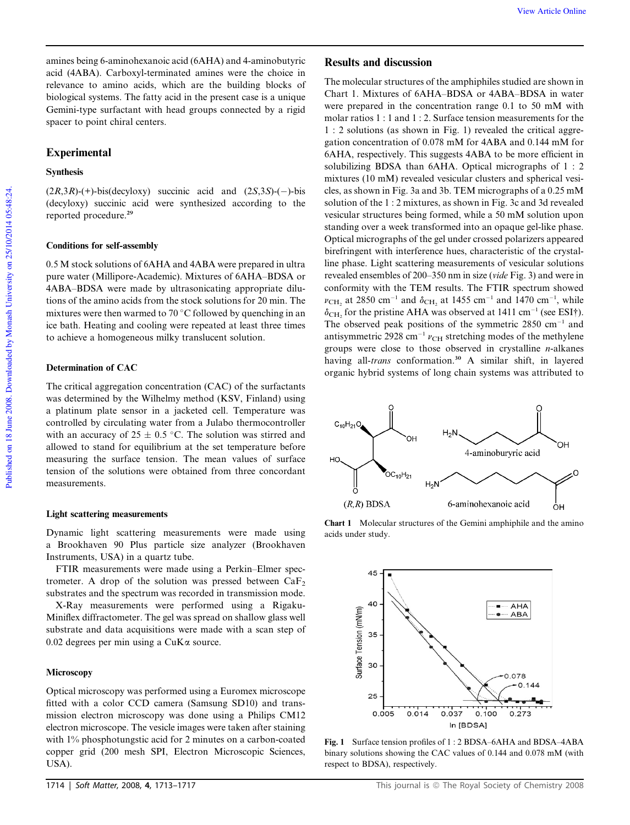# Experimental

## Synthesis

 $(2R,3R)$ -(+)-bis(decyloxy) succinic acid and  $(2S,3S)$ -(-)-bis (decyloxy) succinic acid were synthesized according to the reported procedure.<sup>29</sup>

## Conditions for self-assembly

0.5 M stock solutions of 6AHA and 4ABA were prepared in ultra pure water (Millipore-Academic). Mixtures of 6AHA–BDSA or 4ABA–BDSA were made by ultrasonicating appropriate dilutions of the amino acids from the stock solutions for 20 min. The mixtures were then warmed to 70 $\degree$ C followed by quenching in an ice bath. Heating and cooling were repeated at least three times to achieve a homogeneous milky translucent solution.

# Determination of CAC

The critical aggregation concentration (CAC) of the surfactants was determined by the Wilhelmy method (KSV, Finland) using a platinum plate sensor in a jacketed cell. Temperature was controlled by circulating water from a Julabo thermocontroller with an accuracy of  $25 \pm 0.5$  °C. The solution was stirred and allowed to stand for equilibrium at the set temperature before measuring the surface tension. The mean values of surface tension of the solutions were obtained from three concordant measurements.

## Light scattering measurements

Dynamic light scattering measurements were made using a Brookhaven 90 Plus particle size analyzer (Brookhaven Instruments, USA) in a quartz tube.

FTIR measurements were made using a Perkin–Elmer spectrometer. A drop of the solution was pressed between  $CaF<sub>2</sub>$ substrates and the spectrum was recorded in transmission mode.

X-Ray measurements were performed using a Rigaku-Miniflex diffractometer. The gel was spread on shallow glass well substrate and data acquisitions were made with a scan step of 0.02 degrees per min using a  $CuKa$  source.

#### **Microscopy**

Optical microscopy was performed using a Euromex microscope fitted with a color CCD camera (Samsung SD10) and transmission electron microscopy was done using a Philips CM12 electron microscope. The vesicle images were taken after staining with 1% phosphotungstic acid for 2 minutes on a carbon-coated copper grid (200 mesh SPI, Electron Microscopic Sciences, USA).

# Results and discussion

The molecular structures of the amphiphiles studied are shown in Chart 1. Mixtures of 6AHA–BDSA or 4ABA–BDSA in water were prepared in the concentration range 0.1 to 50 mM with molar ratios 1 : 1 and 1 : 2. Surface tension measurements for the 1 : 2 solutions (as shown in Fig. 1) revealed the critical aggregation concentration of 0.078 mM for 4ABA and 0.144 mM for 6AHA, respectively. This suggests 4ABA to be more efficient in solubilizing BDSA than 6AHA. Optical micrographs of 1 : 2 mixtures (10 mM) revealed vesicular clusters and spherical vesicles, as shown in Fig. 3a and 3b. TEM micrographs of a 0.25 mM solution of the 1 : 2 mixtures, as shown in Fig. 3c and 3d revealed vesicular structures being formed, while a 50 mM solution upon standing over a week transformed into an opaque gel-like phase. Optical micrographs of the gel under crossed polarizers appeared birefringent with interference hues, characteristic of the crystalline phase. Light scattering measurements of vesicular solutions revealed ensembles of 200–350 nm in size (*vide* Fig. 3) and were in conformity with the TEM results. The FTIR spectrum showed  $v_{\text{CH}_2}$  at 2850 cm<sup>-1</sup> and  $\delta_{\text{CH}_2}$  at 1455 cm<sup>-1</sup> and 1470 cm<sup>-1</sup>, while  $\delta_{\text{CH}_2}$  for the pristine AHA was observed at 1411 cm<sup>-1</sup> (see ESI†). The observed peak positions of the symmetric  $2850 \text{ cm}^{-1}$  and antisymmetric 2928 cm<sup>-1</sup>  $v_{\text{CH}}$  stretching modes of the methylene groups were close to those observed in crystalline *n*-alkanes having all-*trans* conformation.<sup>30</sup> A similar shift, in layered organic hybrid systems of long chain systems was attributed to



Chart 1 Molecular structures of the Gemini amphiphile and the amino acids under study.



Fig. 1 Surface tension profiles of 1 : 2 BDSA–6AHA and BDSA–4ABA binary solutions showing the CAC values of 0.144 and 0.078 mM (with respect to BDSA), respectively.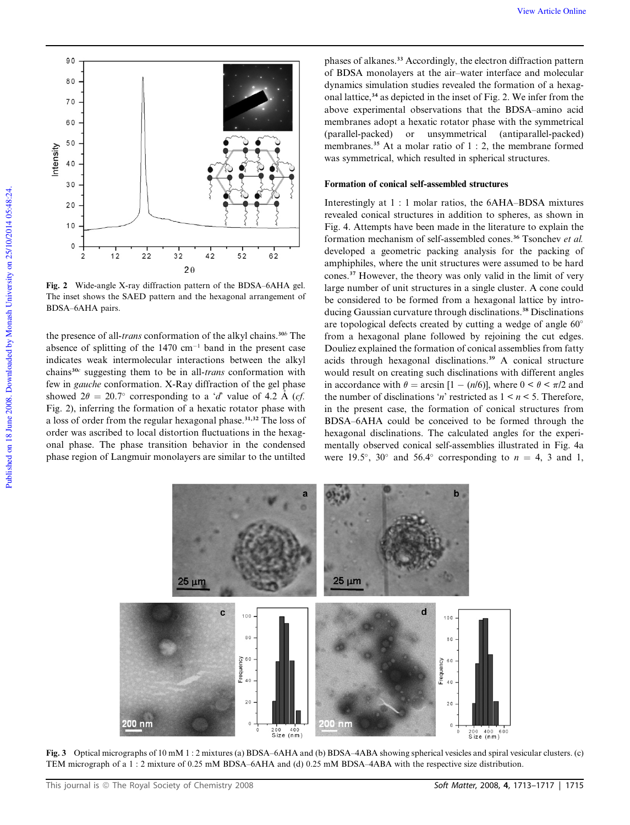

Fig. 2 Wide-angle X-ray diffraction pattern of the BDSA–6AHA gel. The inset shows the SAED pattern and the hexagonal arrangement of BDSA–6AHA pairs.

the presence of all-*trans* conformation of the alkyl chains.<sup>30</sup>*<sup>b</sup>* The absence of splitting of the  $1470 \text{ cm}^{-1}$  band in the present case indicates weak intermolecular interactions between the alkyl chains<sup>30</sup>*<sup>c</sup>* suggesting them to be in all-*trans* conformation with few in *gauche* conformation. X-Ray diffraction of the gel phase showed  $2\theta = 20.7^{\circ}$  corresponding to a '*d*' value of 4.2 Å (*cf.*) Fig. 2), inferring the formation of a hexatic rotator phase with a loss of order from the regular hexagonal phase.<sup>31,32</sup> The loss of order was ascribed to local distortion fluctuations in the hexagonal phase. The phase transition behavior in the condensed phase region of Langmuir monolayers are similar to the untilted

phases of alkanes.<sup>33</sup> Accordingly, the electron diffraction pattern of BDSA monolayers at the air–water interface and molecular dynamics simulation studies revealed the formation of a hexagonal lattice,<sup>34</sup> as depicted in the inset of Fig. 2. We infer from the above experimental observations that the BDSA–amino acid membranes adopt a hexatic rotator phase with the symmetrical (parallel-packed) or unsymmetrical (antiparallel-packed) membranes.<sup>35</sup> At a molar ratio of 1 : 2, the membrane formed was symmetrical, which resulted in spherical structures.

## Formation of conical self-assembled structures

Interestingly at 1 : 1 molar ratios, the 6AHA–BDSA mixtures revealed conical structures in addition to spheres, as shown in Fig. 4. Attempts have been made in the literature to explain the formation mechanism of self-assembled cones.<sup>36</sup> Tsonchev *et al.* developed a geometric packing analysis for the packing of amphiphiles, where the unit structures were assumed to be hard cones.<sup>37</sup> However, the theory was only valid in the limit of very large number of unit structures in a single cluster. A cone could be considered to be formed from a hexagonal lattice by introducing Gaussian curvature through disclinations.<sup>38</sup> Disclinations are topological defects created by cutting a wedge of angle 60<sup>o</sup> from a hexagonal plane followed by rejoining the cut edges. Douliez explained the formation of conical assemblies from fatty acids through hexagonal disclinations.<sup>39</sup> A conical structure would result on creating such disclinations with different angles in accordance with  $\theta = \arcsin [1 - (n/6)]$ , where  $0 \le \theta \le \pi/2$  and the number of disclinations '*n*' restricted as  $1 \le n \le 5$ . Therefore, in the present case, the formation of conical structures from BDSA–6AHA could be conceived to be formed through the hexagonal disclinations. The calculated angles for the experimentally observed conical self-assemblies illustrated in Fig. 4a were 19.5°, 30° and 56.4° corresponding to  $n = 4$ , 3 and 1,



Fig. 3 Optical micrographs of 10 mM 1 : 2 mixtures (a) BDSA–6AHA and (b) BDSA–4ABA showing spherical vesicles and spiral vesicular clusters. (c) TEM micrograph of a 1 : 2 mixture of 0.25 mM BDSA–6AHA and (d) 0.25 mM BDSA–4ABA with the respective size distribution.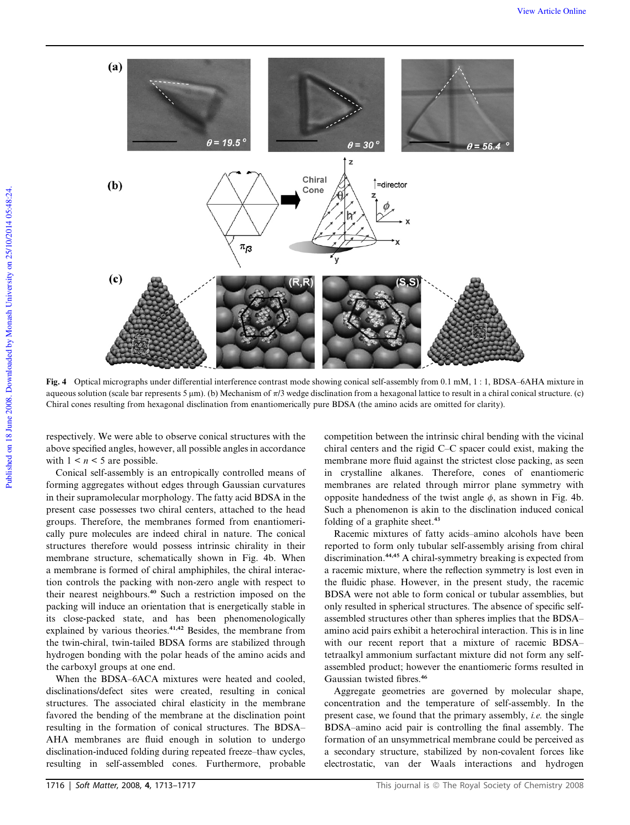

Fig. 4 Optical micrographs under differential interference contrast mode showing conical self-assembly from 0.1 mM, 1 : 1, BDSA–6AHA mixture in aqueous solution (scale bar represents 5  $\mu$ m). (b) Mechanism of  $\pi/3$  wedge disclination from a hexagonal lattice to result in a chiral conical structure. (c) Chiral cones resulting from hexagonal disclination from enantiomerically pure BDSA (the amino acids are omitted for clarity).

respectively. We were able to observe conical structures with the above specified angles, however, all possible angles in accordance with  $1 \leq n \leq 5$  are possible.

Conical self-assembly is an entropically controlled means of forming aggregates without edges through Gaussian curvatures in their supramolecular morphology. The fatty acid BDSA in the present case possesses two chiral centers, attached to the head groups. Therefore, the membranes formed from enantiomerically pure molecules are indeed chiral in nature. The conical structures therefore would possess intrinsic chirality in their membrane structure, schematically shown in Fig. 4b. When a membrane is formed of chiral amphiphiles, the chiral interaction controls the packing with non-zero angle with respect to their nearest neighbours.<sup>40</sup> Such a restriction imposed on the packing will induce an orientation that is energetically stable in its close-packed state, and has been phenomenologically explained by various theories.<sup>41,42</sup> Besides, the membrane from the twin-chiral, twin-tailed BDSA forms are stabilized through hydrogen bonding with the polar heads of the amino acids and the carboxyl groups at one end.

When the BDSA–6ACA mixtures were heated and cooled, disclinations/defect sites were created, resulting in conical structures. The associated chiral elasticity in the membrane favored the bending of the membrane at the disclination point resulting in the formation of conical structures. The BDSA– AHA membranes are fluid enough in solution to undergo disclination-induced folding during repeated freeze–thaw cycles, resulting in self-assembled cones. Furthermore, probable competition between the intrinsic chiral bending with the vicinal chiral centers and the rigid C–C spacer could exist, making the membrane more fluid against the strictest close packing, as seen in crystalline alkanes. Therefore, cones of enantiomeric membranes are related through mirror plane symmetry with opposite handedness of the twist angle  $\phi$ , as shown in Fig. 4b. Such a phenomenon is akin to the disclination induced conical folding of a graphite sheet.<sup>43</sup>

Racemic mixtures of fatty acids–amino alcohols have been reported to form only tubular self-assembly arising from chiral discrimination.44,45 A chiral-symmetry breaking is expected from a racemic mixture, where the reflection symmetry is lost even in the fluidic phase. However, in the present study, the racemic BDSA were not able to form conical or tubular assemblies, but only resulted in spherical structures. The absence of specific selfassembled structures other than spheres implies that the BDSA– amino acid pairs exhibit a heterochiral interaction. This is in line with our recent report that a mixture of racemic BDSA– tetraalkyl ammonium surfactant mixture did not form any selfassembled product; however the enantiomeric forms resulted in Gaussian twisted fibres.<sup>46</sup>

Aggregate geometries are governed by molecular shape, concentration and the temperature of self-assembly. In the present case, we found that the primary assembly, *i.e.* the single BDSA–amino acid pair is controlling the final assembly. The formation of an unsymmetrical membrane could be perceived as a secondary structure, stabilized by non-covalent forces like electrostatic, van der Waals interactions and hydrogen